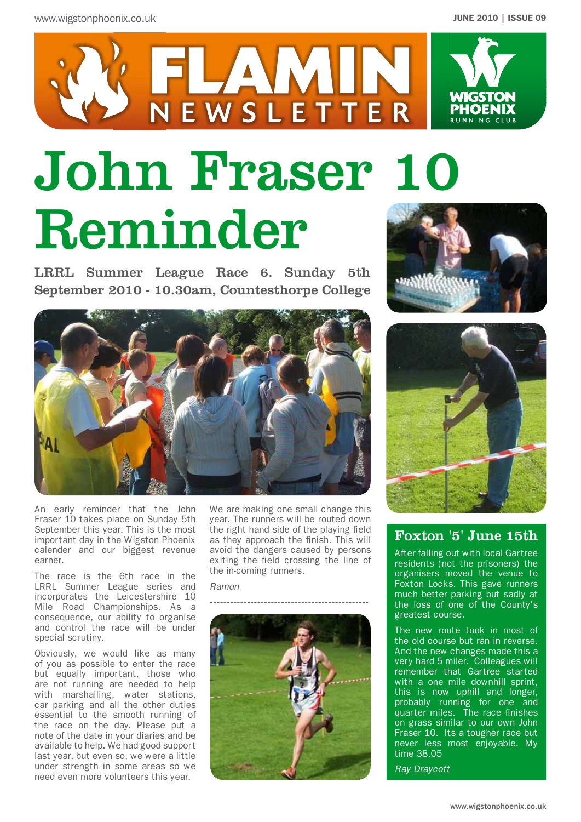

# John Fraser 10 Reminder

LRRL Summer League Race 6. Sunday 5th September 2010 - 10.30am, Countesthorpe College



An early reminder that the John Fraser 10 takes place on Sunday 5th September this year. This is the most important day in the Wigston Phoenix calender and our biggest revenue earner.

The race is the 6th race in the LRRL Summer League series and incorporates the Leicestershire 10 Mile Road Championships. As a consequence, our ability to organise and control the race will be under special scrutiny.

Obviously, we would like as many of you as possible to enter the race but equally important, those who are not running are needed to help with marshalling, water stations, car parking and all the other duties essential to the smooth running of the race on the day. Please put a note of the date in your diaries and be available to help. We had good support last year, but even so, we were a little under strength in some areas so we need even more volunteers this year.

We are making one small change this year. The runners will be routed down the right hand side of the playing field as they approach the finish. This will avoid the dangers caused by persons exiting the field crossing the line of the in-coming runners.

*Ramon*









## Foxton '5' June 15th

After falling out with local Gartree residents (not the prisoners) the organisers moved the venue to Foxton Locks. This gave runners much better parking but sadly at the loss of one of the County's greatest course.

The new route took in most of the old course but ran in reverse. And the new changes made this a very hard 5 miler. Colleagues will remember that Gartree started with a one mile downhill sprint, this is now uphill and longer, probably running for one and quarter miles. The race finishes on grass similar to our own John Fraser 10. Its a tougher race but never less most enjoyable. My time 38.05

*Ray Draycott*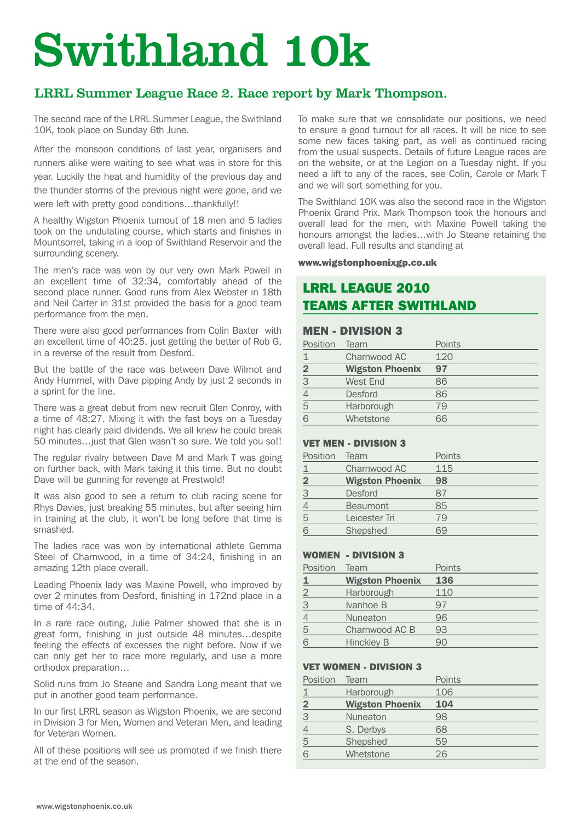# Swithland 10k

## LRRL Summer League Race 2. Race report by Mark Thompson.

The second race of the LRRL Summer League, the Swithland 10K, took place on Sunday 6th June.

After the monsoon conditions of last year, organisers and runners alike were waiting to see what was in store for this year. Luckily the heat and humidity of the previous day and the thunder storms of the previous night were gone, and we were left with pretty good conditions...thankfully!!

A healthy Wigston Phoenix turnout of 18 men and 5 ladies took on the undulating course, which starts and finishes in Mountsorrel, taking in a loop of Swithland Reservoir and the surrounding scenery.

The men's race was won by our very own Mark Powell in an excellent time of 32:34, comfortably ahead of the second place runner. Good runs from Alex Webster in 18th and Neil Carter in 31st provided the basis for a good team performance from the men.

There were also good performances from Colin Baxter with an excellent time of 40:25, just getting the better of Rob G, in a reverse of the result from Desford.

But the battle of the race was between Dave Wilmot and Andy Hummel, with Dave pipping Andy by just 2 seconds in a sprint for the line.

There was a great debut from new recruit Glen Conroy, with a time of 48:27. Mixing it with the fast boys on a Tuesday night has clearly paid dividends. We all knew he could break 50 minutes…just that Glen wasn't so sure. We told you so!!

The regular rivalry between Dave M and Mark T was going on further back, with Mark taking it this time. But no doubt Dave will be gunning for revenge at Prestwold!

It was also good to see a return to club racing scene for Rhys Davies, just breaking 55 minutes, but after seeing him in training at the club, it won't be long before that time is smashed.

The ladies race was won by international athlete Gemma Steel of Charnwood, in a time of 34:24, finishing in an amazing 12th place overall.

Leading Phoenix lady was Maxine Powell, who improved by over 2 minutes from Desford, finishing in 172nd place in a time of 44:34.

In a rare race outing, Julie Palmer showed that she is in great form, finishing in just outside 48 minutes…despite feeling the effects of excesses the night before. Now if we can only get her to race more regularly, and use a more orthodox preparation…

Solid runs from Jo Steane and Sandra Long meant that we put in another good team performance.

In our first LRRL season as Wigston Phoenix, we are second in Division 3 for Men, Women and Veteran Men, and leading for Veteran Women.

All of these positions will see us promoted if we finish there at the end of the season.

To make sure that we consolidate our positions, we need to ensure a good turnout for all races. It will be nice to see some new faces taking part, as well as continued racing from the usual suspects. Details of future League races are on the website, or at the Legion on a Tuesday night. If you need a lift to any of the races, see Colin, Carole or Mark T and we will sort something for you.

The Swithland 10K was also the second race in the Wigston Phoenix Grand Prix. Mark Thompson took the honours and overall lead for the men, with Maxine Powell taking the honours amongst the ladies…with Jo Steane retaining the overall lead. Full results and standing at

www.wigstonphoenixgp.co.uk

## LRRL LEAGUE 2010 TEAMS AFTER SWITHLAND

#### MEN - DIVISION 3

| Position       | Team                   | Points |
|----------------|------------------------|--------|
|                | Charnwood AC           | 120    |
| $\overline{2}$ | <b>Wigston Phoenix</b> | 97     |
| 3              | West End               | 86     |
|                | <b>Desford</b>         | 86     |
| 5              | Harborough             | 79     |
|                | Whetstone              | ลิคิ   |

#### VET MEN - DIVISION 3

| Position | Team                   | Points |
|----------|------------------------|--------|
|          | Charnwood AC           | 115    |
|          | <b>Wigston Phoenix</b> | 98     |
| 3        | Desford                | 87     |
|          | <b>Beaumont</b>        | 85     |
| 5        | Leicester Tri          | 79     |
|          | Shepshed               |        |

#### WOMEN - DIVISION 3

| Position | Team                   | Points |
|----------|------------------------|--------|
|          | <b>Wigston Phoenix</b> | 136    |
|          | Harborough             | 110    |
|          | Ivanhoe B              | 97     |
|          | <b>Nuneaton</b>        | 96     |
| 5        | Charnwood AC B         | 93     |
|          | Hinckley B             | -JI I  |

#### VET WOMEN - DIVISION 3

| Position       | Team                   | Points |
|----------------|------------------------|--------|
|                | Harborough             | 106    |
| $\overline{2}$ | <b>Wigston Phoenix</b> | 104    |
| З              | Nuneaton               | 98     |
|                | S. Derbys              | 68     |
| 5              | Shepshed               | 59     |
|                | Whetstone              | 26     |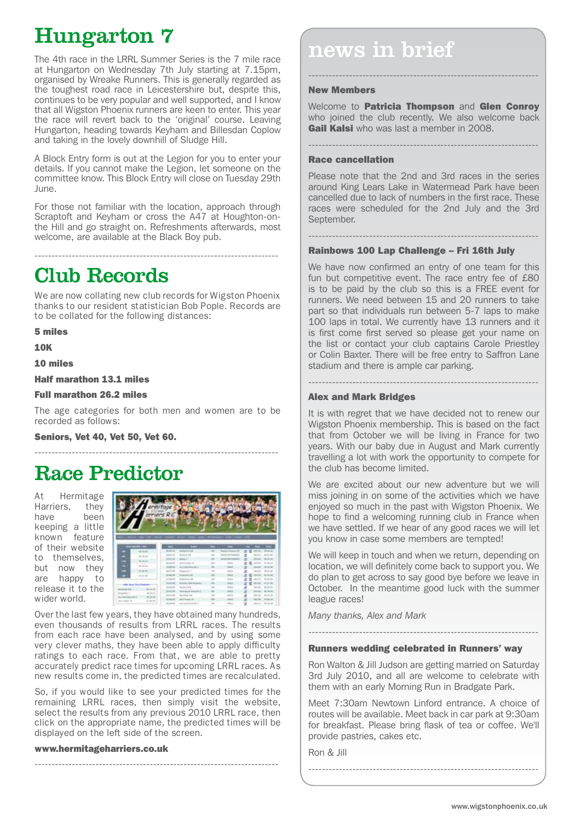# Hungarton 7

at Hungarton on Wednesday 7th July starting at 7.15pm, organised by Wreake Runners. This is generally regarded as the toughest road race in Leicestershire but, despite this, continues to be very popular and well supported, and I know that all Wigston Phoenix runners are keen to enter. This year the race will revert back to the 'original' course. Leaving Hungarton, heading towards Keyham and Billesdan Coplow and taking in the lovely downhill of Sludge Hill.

A Block Entry form is out at the Legion for you to enter your details. If you cannot make the Legion, let someone on the committee know. This Block Entry will close on Tuesday 29th June.

For those not familiar with the location, approach through Scraptoft and Keyham or cross the A47 at Houghton-onthe Hill and go straight on. Refreshments afterwards, most welcome, are available at the Black Boy pub.

------------------------------------------------------------------------

Club Records

We are now collating new club records for Wigston Phoenix thanks to our resident statistician Bob Pople. Records are to be collated for the following distances:

#### 5 miles

10K

10 miles

Half marathon 13.1 miles

Full marathon 26.2 miles

The age categories for both men and women are to be recorded as follows:

------------------------------------------------------------------------

Seniors, Vet 40, Vet 50, Vet 60.

# Race Predictor

At Hermitage Harriers, they have been keeping a little known feature of their website to themselves, but now they are happy to release it to the wider world.

|                             |                   | rmitage     |                                   |                |                  |                                |
|-----------------------------|-------------------|-------------|-----------------------------------|----------------|------------------|--------------------------------|
|                             |                   | arriers R.C |                                   |                |                  |                                |
|                             |                   |             |                                   |                |                  |                                |
|                             |                   |             |                                   |                |                  |                                |
|                             |                   |             |                                   |                |                  |                                |
|                             |                   |             |                                   |                |                  |                                |
|                             |                   |             |                                   |                |                  |                                |
|                             |                   |             |                                   |                |                  |                                |
|                             |                   |             |                                   |                |                  |                                |
|                             | <b>MINE   MYL</b> |             | -                                 |                |                  |                                |
|                             | 444               |             | <b>SHIPPERS CARDS</b>             |                |                  |                                |
|                             | 0.00              |             | <b>Monthly St. 608</b>            |                |                  |                                |
|                             |                   |             | Autor Gillery                     |                |                  | \$1,500.000                    |
|                             | 49-14039-1-       |             | And America of                    | $-0.001$       |                  | ---                            |
| ٠                           |                   |             | <b>Contract Contract Contract</b> | $-$            |                  | ---                            |
|                             |                   |             | <b>Research G.C.</b>              | <b>THE AT</b>  |                  | <b>William Alli</b>            |
|                             |                   | ---         | Alexander Sale                    | <b>HALL</b>    |                  | ---                            |
|                             |                   |             | <b>Brookly as the first</b>       | m              |                  | ---                            |
|                             |                   |             |                                   |                |                  |                                |
|                             |                   |             | <b>Roomer Gallery</b>             | --             | --               |                                |
| <b>SALE And Trucklesser</b> |                   |             | Inder the                         | <b>Date of</b> | --               |                                |
| 25.001                      | <b>MONTH</b>      |             | <b>Real Age &amp; Herman Ed</b>   |                | cartas dicional. | <b>HELEN</b><br>$35 - 44 = 45$ |

Over the last few years, they have obtained many hundreds, even thousands of results from LRRL races. The results from each race have been analysed, and by using some very clever maths, they have been able to apply difficulty ratings to each race. From that, we are able to pretty accurately predict race times for upcoming LRRL races. As new results come in, the predicted times are recalculated.

So, if you would like to see your predicted times for the remaining LRRL races, then simply visit the website, select the results from any previous 2010 LRRL race, then click on the appropriate name, the predicted times will be displayed on the left side of the screen.

------------------------------------------------------------------------

#### www.hermitageharriers.co.uk

# The 4th race in the LRRL Summer Series is the 7 mile race  $\parallel$  news in brief

#### New Members

Welcome to **Patricia Thompson** and **Glen Conroy** who joined the club recently. We also welcome back **Gail Kalsi** who was last a member in 2008.

--------------------------------------------------------------------

--------------------------------------------------------------------

#### Race cancellation

Please note that the 2nd and 3rd races in the series around King Lears Lake in Watermead Park have been cancelled due to lack of numbers in the first race. These races were scheduled for the 2nd July and the 3rd September.

#### -------------------------------------------------------------------- Rainbows 100 Lap Challenge – Fri 16th July

We have now confirmed an entry of one team for this fun but competitive event. The race entry fee of £80 is to be paid by the club so this is a FREE event for runners. We need between 15 and 20 runners to take part so that individuals run between 5-7 laps to make 100 laps in total. We currently have 13 runners and it is first come first served so please get your name on the list or contact your club captains Carole Priestley or Colin Baxter. There will be free entry to Saffron Lane stadium and there is ample car parking.

#### Alex and Mark Bridges

It is with regret that we have decided not to renew our Wigston Phoenix membership. This is based on the fact that from October we will be living in France for two years. With our baby due in August and Mark currently travelling a lot with work the opportunity to compete for the club has become limited.

--------------------------------------------------------------------

We are excited about our new adventure but we will miss joining in on some of the activities which we have enjoyed so much in the past with Wigston Phoenix. We hope to find a welcoming running club in France when we have settled. If we hear of any good races we will let you know in case some members are tempted!

We will keep in touch and when we return, depending on location, we will definitely come back to support you. We do plan to get across to say good bye before we leave in October. In the meantime good luck with the summer league races!

*Many thanks, Alex and Mark*

--------------------------------------------------------------------

#### Runners wedding celebrated in Runners' way

Ron Walton & Jill Judson are getting married on Saturday 3rd July 2010, and all are welcome to celebrate with them with an early Morning Run in Bradgate Park.

Meet 7:30am Newtown Linford entrance. A choice of routes will be available. Meet back in car park at 9:30am for breakfast. Please bring flask of tea or coffee. We'll provide pastries, cakes etc.

--------------------------------------------------------------------

Ron & Jill